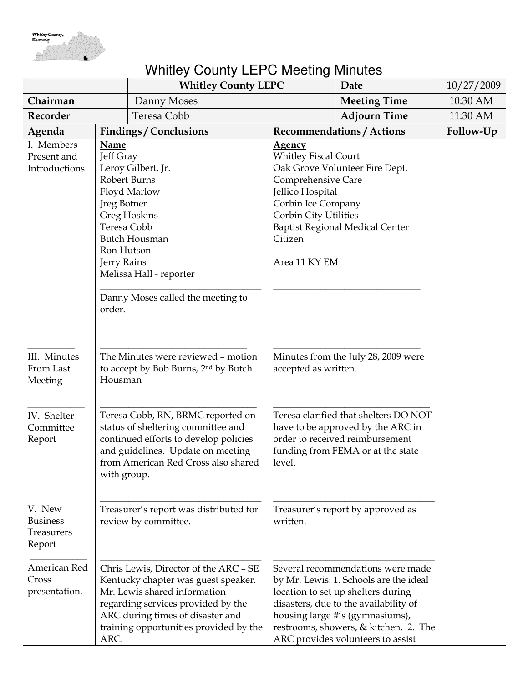

## Whitley County LEPC Meeting Minutes

|                                                   |                                                                                                                                                                                                                                                             | <b>Whitley County LEPC</b> |                                                                                                                                                                   | Date                                                                                                                                                                                                                                                                        | 10/27/2009 |
|---------------------------------------------------|-------------------------------------------------------------------------------------------------------------------------------------------------------------------------------------------------------------------------------------------------------------|----------------------------|-------------------------------------------------------------------------------------------------------------------------------------------------------------------|-----------------------------------------------------------------------------------------------------------------------------------------------------------------------------------------------------------------------------------------------------------------------------|------------|
| Chairman                                          |                                                                                                                                                                                                                                                             | Danny Moses                |                                                                                                                                                                   | <b>Meeting Time</b>                                                                                                                                                                                                                                                         | 10:30 AM   |
| Recorder                                          |                                                                                                                                                                                                                                                             | Teresa Cobb                |                                                                                                                                                                   | <b>Adjourn Time</b>                                                                                                                                                                                                                                                         | 11:30 AM   |
| Agenda                                            | <b>Findings / Conclusions</b>                                                                                                                                                                                                                               |                            |                                                                                                                                                                   | <b>Recommendations / Actions</b>                                                                                                                                                                                                                                            | Follow-Up  |
| I. Members<br>Present and<br>Introductions        | Name<br>Jeff Gray<br>Leroy Gilbert, Jr.<br>Robert Burns<br>Floyd Marlow<br>Jreg Botner<br><b>Greg Hoskins</b><br>Teresa Cobb<br><b>Butch Housman</b><br>Ron Hutson<br>Jerry Rains<br>Melissa Hall - reporter<br>Danny Moses called the meeting to<br>order. |                            | <b>Agency</b><br><b>Whitley Fiscal Court</b><br>Comprehensive Care<br>Jellico Hospital<br>Corbin Ice Company<br>Corbin City Utilities<br>Citizen<br>Area 11 KY EM | Oak Grove Volunteer Fire Dept.<br><b>Baptist Regional Medical Center</b>                                                                                                                                                                                                    |            |
| III. Minutes<br>From Last<br>Meeting              | The Minutes were reviewed - motion<br>to accept by Bob Burns, 2 <sup>nd</sup> by Butch<br>Housman                                                                                                                                                           |                            | accepted as written.                                                                                                                                              | Minutes from the July 28, 2009 were                                                                                                                                                                                                                                         |            |
| IV. Shelter<br>Committee<br>Report                | Teresa Cobb, RN, BRMC reported on<br>status of sheltering committee and<br>continued efforts to develop policies<br>and guidelines. Update on meeting<br>from American Red Cross also shared<br>with group.                                                 |                            | level.                                                                                                                                                            | Teresa clarified that shelters DO NOT<br>have to be approved by the ARC in<br>order to received reimbursement<br>funding from FEMA or at the state                                                                                                                          |            |
| V. New<br><b>Business</b><br>Treasurers<br>Report | Treasurer's report was distributed for<br>review by committee.                                                                                                                                                                                              |                            | written.                                                                                                                                                          | Treasurer's report by approved as                                                                                                                                                                                                                                           |            |
| American Red<br>Cross<br>presentation.            | Chris Lewis, Director of the ARC - SE<br>Kentucky chapter was guest speaker.<br>Mr. Lewis shared information<br>regarding services provided by the<br>ARC during times of disaster and<br>training opportunities provided by the<br>ARC.                    |                            |                                                                                                                                                                   | Several recommendations were made<br>by Mr. Lewis: 1. Schools are the ideal<br>location to set up shelters during<br>disasters, due to the availability of<br>housing large #'s (gymnasiums),<br>restrooms, showers, & kitchen. 2. The<br>ARC provides volunteers to assist |            |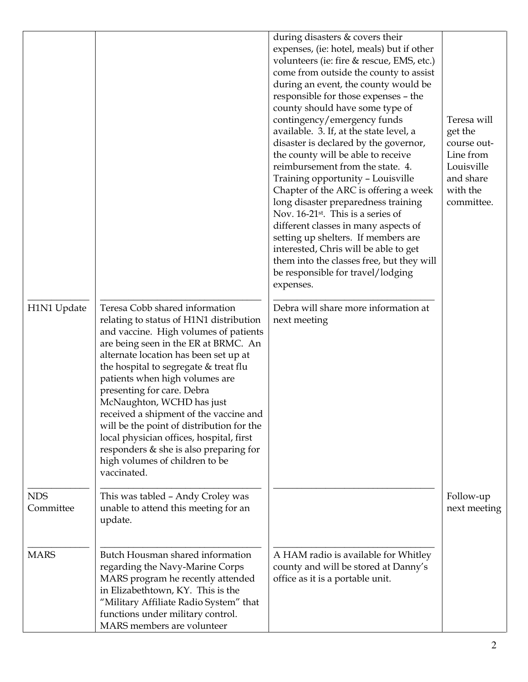|                         |                                                                                                                                                                                                                                                                                                                                                                                                                                                                                                                                                                           | during disasters $&$ covers their<br>expenses, (ie: hotel, meals) but if other<br>volunteers (ie: fire & rescue, EMS, etc.)<br>come from outside the county to assist<br>during an event, the county would be<br>responsible for those expenses - the<br>county should have some type of<br>contingency/emergency funds<br>available. 3. If, at the state level, a<br>disaster is declared by the governor,<br>the county will be able to receive<br>reimbursement from the state. 4.<br>Training opportunity - Louisville<br>Chapter of the ARC is offering a week<br>long disaster preparedness training<br>Nov. 16-21 <sup>st</sup> . This is a series of<br>different classes in many aspects of<br>setting up shelters. If members are<br>interested, Chris will be able to get<br>them into the classes free, but they will<br>be responsible for travel/lodging<br>expenses. | Teresa will<br>get the<br>course out-<br>Line from<br>Louisville<br>and share<br>with the<br>committee. |
|-------------------------|---------------------------------------------------------------------------------------------------------------------------------------------------------------------------------------------------------------------------------------------------------------------------------------------------------------------------------------------------------------------------------------------------------------------------------------------------------------------------------------------------------------------------------------------------------------------------|-------------------------------------------------------------------------------------------------------------------------------------------------------------------------------------------------------------------------------------------------------------------------------------------------------------------------------------------------------------------------------------------------------------------------------------------------------------------------------------------------------------------------------------------------------------------------------------------------------------------------------------------------------------------------------------------------------------------------------------------------------------------------------------------------------------------------------------------------------------------------------------|---------------------------------------------------------------------------------------------------------|
| H1N1 Update             | Teresa Cobb shared information<br>relating to status of H1N1 distribution<br>and vaccine. High volumes of patients<br>are being seen in the ER at BRMC. An<br>alternate location has been set up at<br>the hospital to segregate & treat flu<br>patients when high volumes are<br>presenting for care. Debra<br>McNaughton, WCHD has just<br>received a shipment of the vaccine and<br>will be the point of distribution for the<br>local physician offices, hospital, first<br>responders $&$ she is also preparing for<br>high volumes of children to be<br>vaccinated. | Debra will share more information at<br>next meeting                                                                                                                                                                                                                                                                                                                                                                                                                                                                                                                                                                                                                                                                                                                                                                                                                                |                                                                                                         |
| <b>NDS</b><br>Committee | This was tabled - Andy Croley was<br>unable to attend this meeting for an<br>update.                                                                                                                                                                                                                                                                                                                                                                                                                                                                                      |                                                                                                                                                                                                                                                                                                                                                                                                                                                                                                                                                                                                                                                                                                                                                                                                                                                                                     | Follow-up<br>next meeting                                                                               |
| <b>MARS</b>             | Butch Housman shared information<br>regarding the Navy-Marine Corps<br>MARS program he recently attended<br>in Elizabethtown, KY. This is the<br>"Military Affiliate Radio System" that<br>functions under military control.<br>MARS members are volunteer                                                                                                                                                                                                                                                                                                                | A HAM radio is available for Whitley<br>county and will be stored at Danny's<br>office as it is a portable unit.                                                                                                                                                                                                                                                                                                                                                                                                                                                                                                                                                                                                                                                                                                                                                                    |                                                                                                         |